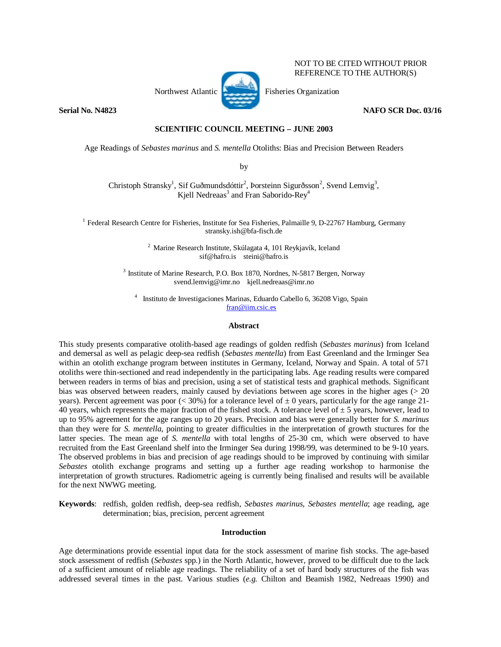

NOT TO BE CITED WITHOUT PRIOR REFERENCE TO THE AUTHOR(S)

Northwest Atlantic Fisheries Organization

**Serial No. N4823** NAFO SCR Doc. 03/16

# **SCIENTIFIC COUNCIL MEETING – JUNE 2003**

Age Readings of *Sebastes marinus* and *S. mentella* Otoliths: Bias and Precision Between Readers

by

Christoph Stransky<sup>1</sup>, Sif Guðmundsdóttir<sup>2</sup>, Þorsteinn Sigurðsson<sup>2</sup>, Svend Lemvig<sup>3</sup>, Kjell Nedreaas<sup>3</sup> and Fran Saborido-Rey<sup>4</sup>

<sup>1</sup> Federal Research Centre for Fisheries, Institute for Sea Fisheries, Palmaille 9, D-22767 Hamburg, Germany stransky.ish@bfa-fisch.de

> 2 Marine Research Institute, Skúlagata 4, 101 Reykjavík, Iceland sif@hafro.is steini@hafro.is

3 Institute of Marine Research, P.O. Box 1870, Nordnes, N-5817 Bergen, Norway svend.lemvig@imr.no kjell.nedreaas@imr.no

4 Instituto de Investigaciones Marinas, Eduardo Cabello 6, 36208 Vigo, Spain fran@iim.csic.es

### **Abstract**

This study presents comparative otolith-based age readings of golden redfish (*Sebastes marinus*) from Iceland and demersal as well as pelagic deep-sea redfish (*Sebastes mentella*) from East Greenland and the Irminger Sea within an otolith exchange program between institutes in Germany, Iceland, Norway and Spain. A total of 571 otoliths were thin-sectioned and read independently in the participating labs. Age reading results were compared between readers in terms of bias and precision, using a set of statistical tests and graphical methods. Significant bias was observed between readers, mainly caused by deviations between age scores in the higher ages (> 20 years). Percent agreement was poor ( $\lt 30\%$ ) for a tolerance level of  $\pm 0$  years, particularly for the age range 21-40 years, which represents the major fraction of the fished stock. A tolerance level of  $\pm$  5 years, however, lead to up to 95% agreement for the age ranges up to 20 years. Precision and bias were generally better for *S. marinus* than they were for *S. mentella*, pointing to greater difficulties in the interpretation of growth stuctures for the latter species. The mean age of *S. mentella* with total lengths of 25-30 cm, which were observed to have recruited from the East Greenland shelf into the Irminger Sea during 1998/99, was determined to be 9-10 years. The observed problems in bias and precision of age readings should to be improved by continuing with similar *Sebastes* otolith exchange programs and setting up a further age reading workshop to harmonise the interpretation of growth structures. Radiometric ageing is currently being finalised and results will be available for the next NWWG meeting.

**Keywords**: redfish, golden redfish, deep-sea redfish, *Sebastes marinus*, *Sebastes mentella*; age reading, age determination; bias, precision, percent agreement

## **Introduction**

Age determinations provide essential input data for the stock assessment of marine fish stocks. The age-based stock assessment of redfish (*Sebastes* spp.) in the North Atlantic, however, proved to be difficult due to the lack of a sufficient amount of reliable age readings. The reliability of a set of hard body structures of the fish was addressed several times in the past. Various studies (*e.g.* Chilton and Beamish 1982, Nedreaas 1990) and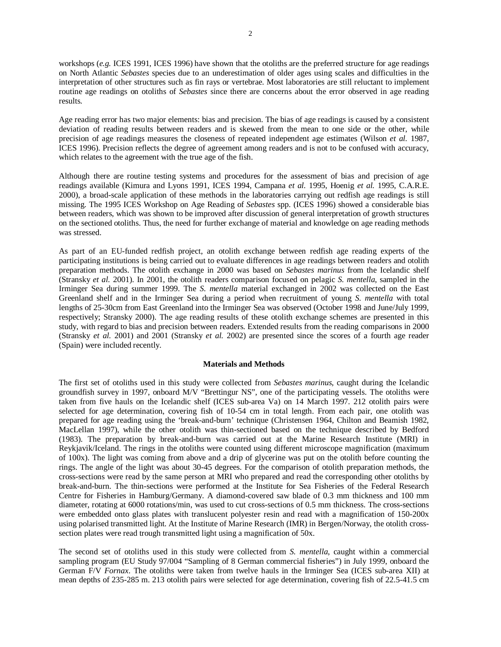workshops (*e.g.* ICES 1991, ICES 1996) have shown that the otoliths are the preferred structure for age readings on North Atlantic *Sebastes* species due to an underestimation of older ages using scales and difficulties in the interpretation of other structures such as fin rays or vertebrae. Most laboratories are still reluctant to implement routine age readings on otoliths of *Sebastes* since there are concerns about the error observed in age reading results.

Age reading error has two major elements: bias and precision. The bias of age readings is caused by a consistent deviation of reading results between readers and is skewed from the mean to one side or the other, while precision of age readings measures the closeness of repeated independent age estimates (Wilson *et al.* 1987, ICES 1996). Precision reflects the degree of agreement among readers and is not to be confused with accuracy, which relates to the agreement with the true age of the fish.

Although there are routine testing systems and procedures for the assessment of bias and precision of age readings available (Kimura and Lyons 1991, ICES 1994, Campana *et al.* 1995, Hoenig *et al.* 1995, C.A.R.E. 2000), a broad-scale application of these methods in the laboratories carrying out redfish age readings is still missing. The 1995 ICES Workshop on Age Reading of *Sebastes* spp. (ICES 1996) showed a considerable bias between readers, which was shown to be improved after discussion of general interpretation of growth structures on the sectioned otoliths. Thus, the need for further exchange of material and knowledge on age reading methods was stressed.

As part of an EU-funded redfish project, an otolith exchange between redfish age reading experts of the participating institutions is being carried out to evaluate differences in age readings between readers and otolith preparation methods. The otolith exchange in 2000 was based on *Sebastes marinus* from the Icelandic shelf (Stransky *et al.* 2001). In 2001, the otolith readers comparison focused on pelagic *S. mentella*, sampled in the Irminger Sea during summer 1999. The *S. mentella* material exchanged in 2002 was collected on the East Greenland shelf and in the Irminger Sea during a period when recruitment of young *S. mentella* with total lengths of 25-30cm from East Greenland into the Irminger Sea was observed (October 1998 and June/July 1999, respectively; Stransky 2000). The age reading results of these otolith exchange schemes are presented in this study, with regard to bias and precision between readers. Extended results from the reading comparisons in 2000 (Stransky *et al.* 2001) and 2001 (Stransky *et al.* 2002) are presented since the scores of a fourth age reader (Spain) were included recently.

## **Materials and Methods**

The first set of otoliths used in this study were collected from *Sebastes marinus*, caught during the Icelandic groundfish survey in 1997, onboard M/V "Brettingur NS", one of the participating vessels. The otoliths were taken from five hauls on the Icelandic shelf (ICES sub-area Va) on 14 March 1997. 212 otolith pairs were selected for age determination, covering fish of 10-54 cm in total length. From each pair, one otolith was prepared for age reading using the 'break-and-burn' technique (Christensen 1964, Chilton and Beamish 1982, MacLellan 1997), while the other otolith was thin-sectioned based on the technique described by Bedford (1983). The preparation by break-and-burn was carried out at the Marine Research Institute (MRI) in Reykjavik/Iceland. The rings in the otoliths were counted using different microscope magnification (maximum of 100x). The light was coming from above and a drip of glycerine was put on the otolith before counting the rings. The angle of the light was about 30-45 degrees. For the comparison of otolith preparation methods, the cross-sections were read by the same person at MRI who prepared and read the corresponding other otoliths by break-and-burn. The thin-sections were performed at the Institute for Sea Fisheries of the Federal Research Centre for Fisheries in Hamburg/Germany. A diamond-covered saw blade of 0.3 mm thickness and 100 mm diameter, rotating at 6000 rotations/min, was used to cut cross-sections of 0.5 mm thickness. The cross-sections were embedded onto glass plates with translucent polyester resin and read with a magnification of 150-200x using polarised transmitted light. At the Institute of Marine Research (IMR) in Bergen/Norway, the otolith crosssection plates were read trough transmitted light using a magnification of 50x.

The second set of otoliths used in this study were collected from *S. mentella*, caught within a commercial sampling program (EU Study 97/004 "Sampling of 8 German commercial fisheries") in July 1999, onboard the German F/V *Fornax*. The otoliths were taken from twelve hauls in the Irminger Sea (ICES sub-area XII) at mean depths of 235-285 m. 213 otolith pairs were selected for age determination, covering fish of 22.5-41.5 cm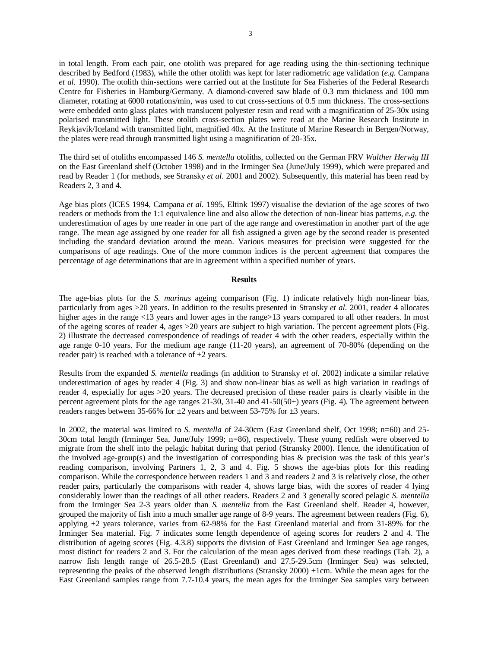in total length. From each pair, one otolith was prepared for age reading using the thin-sectioning technique described by Bedford (1983), while the other otolith was kept for later radiometric age validation (*e.g.* Campana *et al.* 1990). The otolith thin-sections were carried out at the Institute for Sea Fisheries of the Federal Research Centre for Fisheries in Hamburg/Germany. A diamond-covered saw blade of 0.3 mm thickness and 100 mm diameter, rotating at 6000 rotations/min, was used to cut cross-sections of 0.5 mm thickness. The cross-sections were embedded onto glass plates with translucent polyester resin and read with a magnification of 25-30x using polarised transmitted light. These otolith cross-section plates were read at the Marine Research Institute in Reykjavík/Iceland with transmitted light, magnified 40x. At the Institute of Marine Research in Bergen/Norway, the plates were read through transmitted light using a magnification of 20-35x.

The third set of otoliths encompassed 146 *S. mentella* otoliths, collected on the German FRV *Walther Herwig III* on the East Greenland shelf (October 1998) and in the Irminger Sea (June/July 1999), which were prepared and read by Reader 1 (for methods, see Stransky *et al.* 2001 and 2002). Subsequently, this material has been read by Readers 2, 3 and 4.

Age bias plots (ICES 1994, Campana *et al.* 1995, Eltink 1997) visualise the deviation of the age scores of two readers or methods from the 1:1 equivalence line and also allow the detection of non-linear bias patterns, *e.g.* the underestimation of ages by one reader in one part of the age range and overestimation in another part of the age range. The mean age assigned by one reader for all fish assigned a given age by the second reader is presented including the standard deviation around the mean. Various measures for precision were suggested for the comparisons of age readings. One of the more common indices is the percent agreement that compares the percentage of age determinations that are in agreement within a specified number of years.

#### **Results**

The age-bias plots for the *S. marinus* ageing comparison (Fig. 1) indicate relatively high non-linear bias, particularly from ages >20 years. In addition to the results presented in Stransky *et al.* 2001, reader 4 allocates higher ages in the range <13 years and lower ages in the range >13 years compared to all other readers. In most of the ageing scores of reader 4, ages >20 years are subject to high variation. The percent agreement plots (Fig. 2) illustrate the decreased correspondence of readings of reader 4 with the other readers, especially within the age range 0-10 years. For the medium age range (11-20 years), an agreement of 70-80% (depending on the reader pair) is reached with a tolerance of  $\pm 2$  years.

Results from the expanded *S. mentella* readings (in addition to Stransky *et al.* 2002) indicate a similar relative underestimation of ages by reader 4 (Fig. 3) and show non-linear bias as well as high variation in readings of reader 4, especially for ages >20 years. The decreased precision of these reader pairs is clearly visible in the percent agreement plots for the age ranges 21-30, 31-40 and 41-50(50+) years (Fig. 4). The agreement between readers ranges between 35-66% for  $\pm 2$  years and between 53-75% for  $\pm 3$  years.

In 2002, the material was limited to *S. mentella* of 24-30cm (East Greenland shelf, Oct 1998; n=60) and 25- 30cm total length (Irminger Sea, June/July 1999; n=86), respectively. These young redfish were observed to migrate from the shelf into the pelagic habitat during that period (Stransky 2000). Hence, the identification of the involved age-group(s) and the investigation of corresponding bias & precision was the task of this year's reading comparison, involving Partners 1, 2, 3 and 4. Fig. 5 shows the age-bias plots for this reading comparison. While the correspondence between readers 1 and 3 and readers 2 and 3 is relatively close, the other reader pairs, particularly the comparisons with reader 4, shows large bias, with the scores of reader 4 lying considerably lower than the readings of all other readers. Readers 2 and 3 generally scored pelagic *S. mentella* from the Irminger Sea 2-3 years older than *S. mentella* from the East Greenland shelf. Reader 4, however, grouped the majority of fish into a much smaller age range of 8-9 years. The agreement between readers (Fig. 6), applying  $\pm 2$  years tolerance, varies from 62-98% for the East Greenland material and from 31-89% for the Irminger Sea material. Fig. 7 indicates some length dependence of ageing scores for readers 2 and 4. The distribution of ageing scores (Fig. 4.3.8) supports the division of East Greenland and Irminger Sea age ranges, most distinct for readers 2 and 3. For the calculation of the mean ages derived from these readings (Tab. 2), a narrow fish length range of 26.5-28.5 (East Greenland) and 27.5-29.5cm (Irminger Sea) was selected, representing the peaks of the observed length distributions (Stransky 2000) ±1cm. While the mean ages for the East Greenland samples range from 7.7-10.4 years, the mean ages for the Irminger Sea samples vary between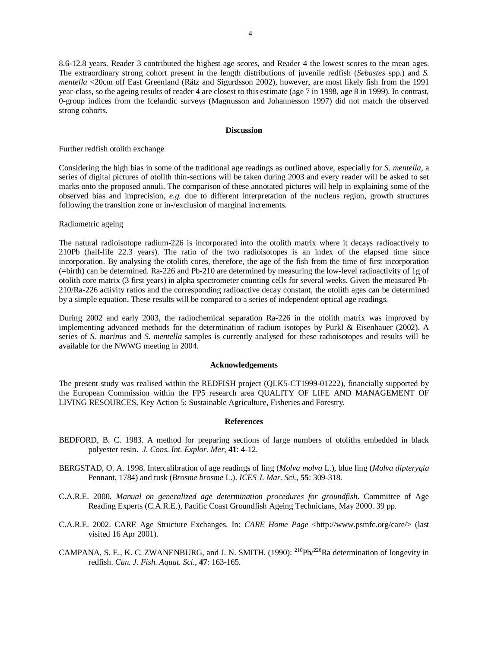8.6-12.8 years. Reader 3 contributed the highest age scores, and Reader 4 the lowest scores to the mean ages. The extraordinary strong cohort present in the length distributions of juvenile redfish (*Sebastes* spp.) and *S. mentella* <20cm off East Greenland (Rätz and Sigurdsson 2002), however, are most likely fish from the 1991 year-class, so the ageing results of reader 4 are closest to this estimate (age 7 in 1998, age 8 in 1999). In contrast, 0-group indices from the Icelandic surveys (Magnusson and Johannesson 1997) did not match the observed strong cohorts.

# **Discussion**

### Further redfish otolith exchange

Considering the high bias in some of the traditional age readings as outlined above, especially for *S. mentella*, a series of digital pictures of otolith thin-sections will be taken during 2003 and every reader will be asked to set marks onto the proposed annuli. The comparison of these annotated pictures will help in explaining some of the observed bias and imprecision, *e.g.* due to different interpretation of the nucleus region, growth structures following the transition zone or in-/exclusion of marginal increments.

### Radiometric ageing

The natural radioisotope radium-226 is incorporated into the otolith matrix where it decays radioactively to 210Pb (half-life 22.3 years). The ratio of the two radioisotopes is an index of the elapsed time since incorporation. By analysing the otolith cores, therefore, the age of the fish from the time of first incorporation (=birth) can be determined. Ra-226 and Pb-210 are determined by measuring the low-level radioactivity of 1g of otolith core matrix (3 first years) in alpha spectrometer counting cells for several weeks. Given the measured Pb-210/Ra-226 activity ratios and the corresponding radioactive decay constant, the otolith ages can be determined by a simple equation. These results will be compared to a series of independent optical age readings.

During 2002 and early 2003, the radiochemical separation Ra-226 in the otolith matrix was improved by implementing advanced methods for the determination of radium isotopes by Purkl & Eisenhauer (2002). A series of *S. marin*us and *S. mentella* samples is currently analysed for these radioisotopes and results will be available for the NWWG meeting in 2004.

### **Acknowledgements**

The present study was realised within the REDFISH project (QLK5-CT1999-01222), financially supported by the European Commission within the FP5 research area QUALITY OF LIFE AND MANAGEMENT OF LIVING RESOURCES, Key Action 5: Sustainable Agriculture, Fisheries and Forestry.

### **References**

- BEDFORD, B. C. 1983. A method for preparing sections of large numbers of otoliths embedded in black polyester resin. *J. Cons. Int. Explor. Mer*, **41**: 4-12.
- BERGSTAD, O. A. 1998. Intercalibration of age readings of ling (*Molva molva* L.), blue ling (*Molva dipterygia* Pennant, 1784) and tusk (*Brosme brosme* L.). *ICES J. Mar. Sci.*, **55**: 309-318.
- C.A.R.E. 2000. *Manual on generalized age determination procedures for groundfish*. Committee of Age Reading Experts (C.A.R.E.), Pacific Coast Groundfish Ageing Technicians, May 2000. 39 pp.
- C.A.R.E. 2002. CARE Age Structure Exchanges. In: *CARE Home Page* <http://www.psmfc.org/care/> (last visited 16 Apr 2001).
- CAMPANA, S. E., K. C. ZWANENBURG, and J. N. SMITH. (1990): <sup>210</sup>Pb/<sup>226</sup>Ra determination of longevity in redfish. *Can. J. Fish. Aquat. Sci.*, **47**: 163-165.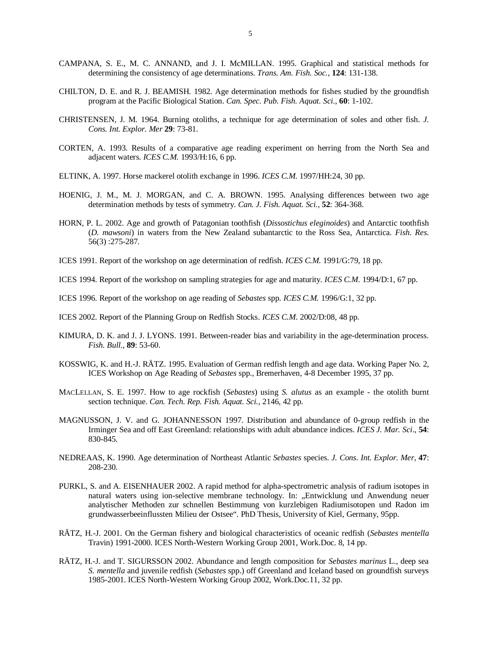- CAMPANA, S. E., M. C. ANNAND, and J. I. McMILLAN. 1995. Graphical and statistical methods for determining the consistency of age determinations. *Trans. Am. Fish. Soc.*, **124**: 131-138.
- CHILTON, D. E. and R. J. BEAMISH. 1982. Age determination methods for fishes studied by the groundfish program at the Pacific Biological Station. *Can. Spec. Pub. Fish. Aquat. Sci.*, **60**: 1-102.
- CHRISTENSEN, J. M. 1964. Burning otoliths, a technique for age determination of soles and other fish. *J. Cons. Int. Explor. Mer* **29**: 73-81.
- CORTEN, A. 1993. Results of a comparative age reading experiment on herring from the North Sea and adjacent waters. *ICES C.M.* 1993/H:16, 6 pp.
- ELTINK, A. 1997. Horse mackerel otolith exchange in 1996. *ICES C.M.* 1997/HH:24, 30 pp.
- HOENIG, J. M., M. J. MORGAN, and C. A. BROWN. 1995. Analysing differences between two age determination methods by tests of symmetry. *Can. J. Fish. Aquat. Sci.*, **52**: 364-368.
- HORN, P. L. 2002. Age and growth of Patagonian toothfish (*Dissostichus eleginoides*) and Antarctic toothfish (*D. mawsoni*) in waters from the New Zealand subantarctic to the Ross Sea, Antarctica. *Fish. Res.* 56(3) :275-287.
- ICES 1991. Report of the workshop on age determination of redfish. *ICES C.M.* 1991/G:79, 18 pp.
- ICES 1994. Report of the workshop on sampling strategies for age and maturity. *ICES C.M.* 1994/D:1, 67 pp.
- ICES 1996. Report of the workshop on age reading of *Sebastes* spp. *ICES C.M.* 1996/G:1, 32 pp.

ICES 2002. Report of the Planning Group on Redfish Stocks. *ICES C.M.* 2002/D:08, 48 pp.

- KIMURA, D. K. and J. J. LYONS. 1991. Between-reader bias and variability in the age-determination process. *Fish. Bull.*, **89**: 53-60.
- KOSSWIG, K. and H.-J. RÄTZ. 1995. Evaluation of German redfish length and age data. Working Paper No. 2, ICES Workshop on Age Reading of *Sebastes* spp., Bremerhaven, 4-8 December 1995, 37 pp.
- MACLELLAN, S. E. 1997. How to age rockfish (*Sebastes*) using *S. alutus* as an example the otolith burnt section technique. *Can. Tech. Rep. Fish. Aquat. Sci.*, 2146, 42 pp.
- MAGNUSSON, J. V. and G. JOHANNESSON 1997. Distribution and abundance of 0-group redfish in the Irminger Sea and off East Greenland: relationships with adult abundance indices. *ICES J. Mar. Sci*., **54**: 830-845.
- NEDREAAS, K. 1990. Age determination of Northeast Atlantic *Sebastes* species. *J. Cons. Int. Explor. Mer*, **47**: 208-230.
- PURKL, S. and A. EISENHAUER 2002. A rapid method for alpha-spectrometric analysis of radium isotopes in natural waters using ion-selective membrane technology. In: "Entwicklung und Anwendung neuer analytischer Methoden zur schnellen Bestimmung von kurzlebigen Radiumisotopen und Radon im grundwasserbeeinflussten Milieu der Ostsee". PhD Thesis, University of Kiel, Germany, 95pp.
- RÄTZ, H.-J. 2001. On the German fishery and biological characteristics of oceanic redfish (*Sebastes mentella* Travin) 1991-2000. ICES North-Western Working Group 2001, Work.Doc. 8, 14 pp.
- RÄTZ, H.-J. and T. SIGURSSON 2002. Abundance and length composition for *Sebastes marinus* L., deep sea *S. mentella* and juvenile redfish (*Sebastes* spp.) off Greenland and Iceland based on groundfish surveys 1985-2001. ICES North-Western Working Group 2002, Work.Doc.11, 32 pp.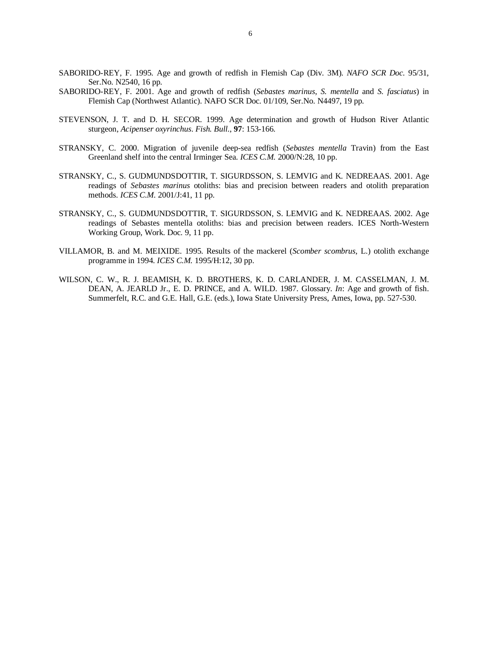- SABORIDO-REY, F. 1995. Age and growth of redfish in Flemish Cap (Div. 3M). *NAFO SCR Doc*. 95/31, Ser.No. N2540, 16 pp.
- SABORIDO-REY, F. 2001. Age and growth of redfish (*Sebastes marinus*, *S. mentella* and *S. fasciatus*) in Flemish Cap (Northwest Atlantic). NAFO SCR Doc. 01/109, Ser.No. N4497, 19 pp.
- STEVENSON, J. T. and D. H. SECOR. 1999. Age determination and growth of Hudson River Atlantic sturgeon, *Acipenser oxyrinchus*. *Fish. Bull.*, **97**: 153-166.
- STRANSKY, C. 2000. Migration of juvenile deep-sea redfish (*Sebastes mentella* Travin) from the East Greenland shelf into the central Irminger Sea. *ICES C.M.* 2000/N:28, 10 pp.
- STRANSKY, C., S. GUDMUNDSDOTTIR, T. SIGURDSSON, S. LEMVIG and K. NEDREAAS. 2001. Age readings of *Sebastes marinus* otoliths: bias and precision between readers and otolith preparation methods. *ICES C.M.* 2001/J:41, 11 pp.
- STRANSKY, C., S. GUDMUNDSDOTTIR, T. SIGURDSSON, S. LEMVIG and K. NEDREAAS. 2002. Age readings of Sebastes mentella otoliths: bias and precision between readers. ICES North-Western Working Group, Work. Doc. 9, 11 pp.
- VILLAMOR, B. and M. MEIXIDE. 1995. Results of the mackerel (*Scomber scombrus*, L.) otolith exchange programme in 1994. *ICES C.M.* 1995/H:12, 30 pp.
- WILSON, C. W., R. J. BEAMISH, K. D. BROTHERS, K. D. CARLANDER, J. M. CASSELMAN, J. M. DEAN, A. JEARLD Jr., E. D. PRINCE, and A. WILD. 1987. Glossary. *In*: Age and growth of fish. Summerfelt, R.C. and G.E. Hall, G.E. (eds.), Iowa State University Press, Ames, Iowa, pp. 527-530.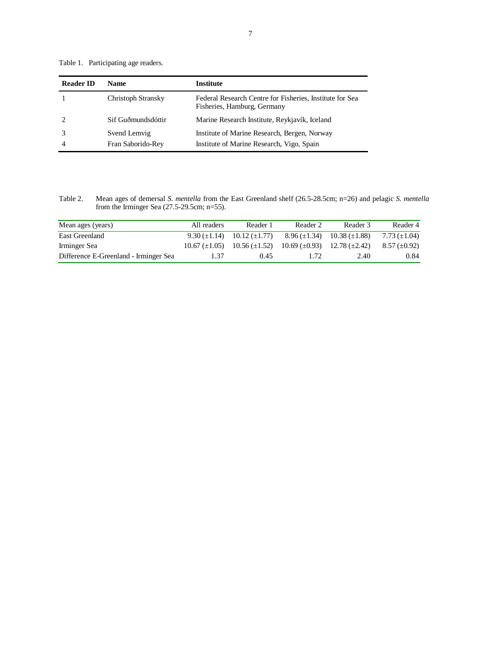Table 1. Participating age readers.

| <b>Reader ID</b> | <b>Name</b>                       | <b>Institute</b>                                                                          |
|------------------|-----------------------------------|-------------------------------------------------------------------------------------------|
|                  | <b>Christoph Stransky</b>         | Federal Research Centre for Fisheries, Institute for Sea<br>Fisheries, Hamburg, Germany   |
|                  | Sif Guðmundsdóttir                | Marine Research Institute, Reykjavík, Iceland                                             |
|                  | Svend Lemvig<br>Fran Saborido-Rev | Institute of Marine Research, Bergen, Norway<br>Institute of Marine Research, Vigo, Spain |

Table 2. Mean ages of demersal *S. mentella* from the East Greenland shelf (26.5-28.5cm; n=26) and pelagic *S. mentella* from the Irminger Sea (27.5-29.5cm; n=55).

| Mean ages (years)                     | All readers     | Reader 1                                                       | Reader 2                                  | Reader 3                                            | Reader 4            |
|---------------------------------------|-----------------|----------------------------------------------------------------|-------------------------------------------|-----------------------------------------------------|---------------------|
| East Greenland                        |                 | $9.30 \left( \pm 1.14 \right)$ $10.12 \left( \pm 1.77 \right)$ |                                           | $8.96 \left( \pm 1.34 \right)$ 10.38 ( $\pm 1.88$ ) | $7.73 \ (\pm 1.04)$ |
| Irminger Sea                          | $10.67 (+1.05)$ | $10.56 \ (\pm 1.52)$                                           | $10.69 \ (\pm 0.93)$ $12.78 \ (\pm 2.42)$ |                                                     | $8.57 \ (\pm 0.92)$ |
| Difference E-Greenland - Irminger Sea | 1.37            | 0.45                                                           | 1.72                                      | 2.40                                                | 0.84                |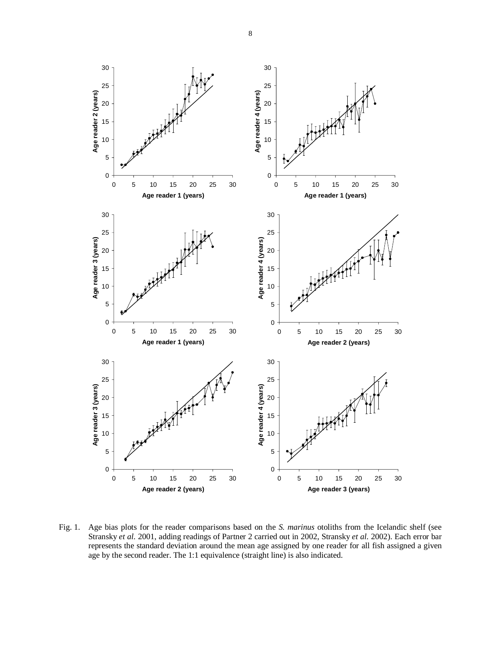

Fig. 1. Age bias plots for the reader comparisons based on the *S. marinus* otoliths from the Icelandic shelf (see Stransky *et al.* 2001, adding readings of Partner 2 carried out in 2002, Stransky *et al.* 2002). Each error bar represents the standard deviation around the mean age assigned by one reader for all fish assigned a given age by the second reader. The 1:1 equivalence (straight line) is also indicated.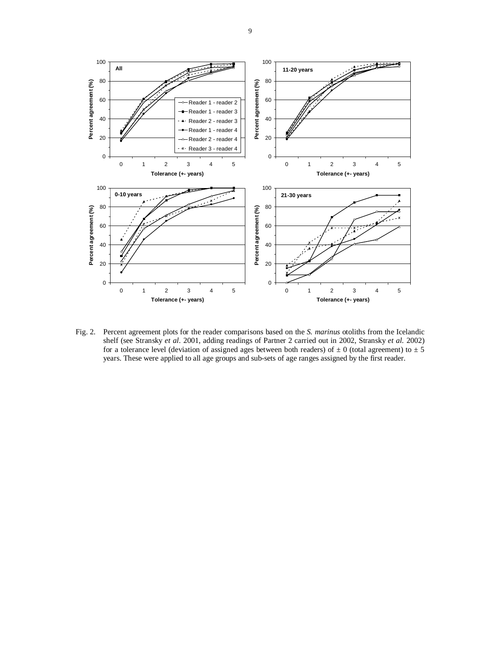

Fig. 2. Percent agreement plots for the reader comparisons based on the *S. marinus* otoliths from the Icelandic shelf (see Stransky *et al.* 2001, adding readings of Partner 2 carried out in 2002, Stransky *et al.* 2002) for a tolerance level (deviation of assigned ages between both readers) of  $\pm$  0 (total agreement) to  $\pm$  5 years. These were applied to all age groups and sub-sets of age ranges assigned by the first reader.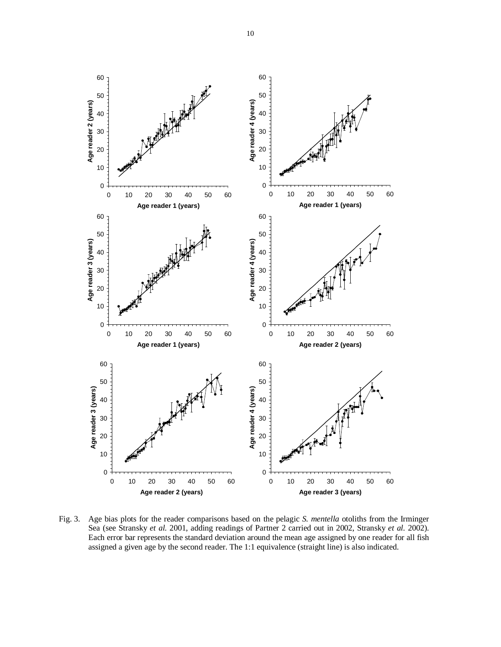

Fig. 3. Age bias plots for the reader comparisons based on the pelagic *S. mentella* otoliths from the Irminger Sea (see Stransky *et al.* 2001, adding readings of Partner 2 carried out in 2002, Stransky *et al.* 2002). Each error bar represents the standard deviation around the mean age assigned by one reader for all fish assigned a given age by the second reader. The 1:1 equivalence (straight line) is also indicated.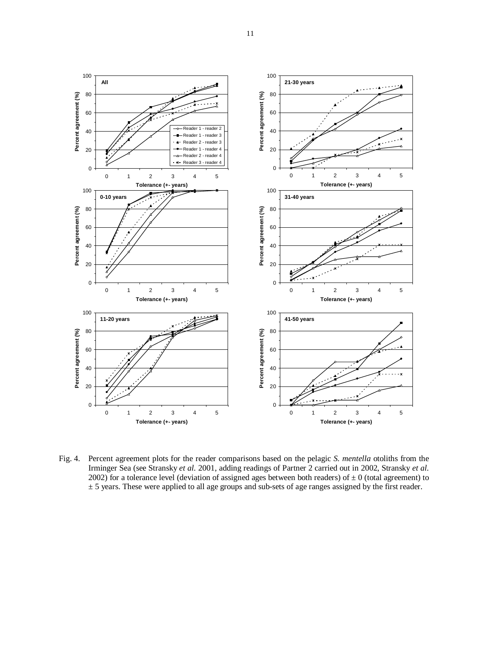

Fig. 4. Percent agreement plots for the reader comparisons based on the pelagic *S. mentella* otoliths from the Irminger Sea (see Stransky *et al.* 2001, adding readings of Partner 2 carried out in 2002, Stransky *et al.* 2002) for a tolerance level (deviation of assigned ages between both readers) of  $\pm$  0 (total agreement) to ± 5 years. These were applied to all age groups and sub-sets of age ranges assigned by the first reader.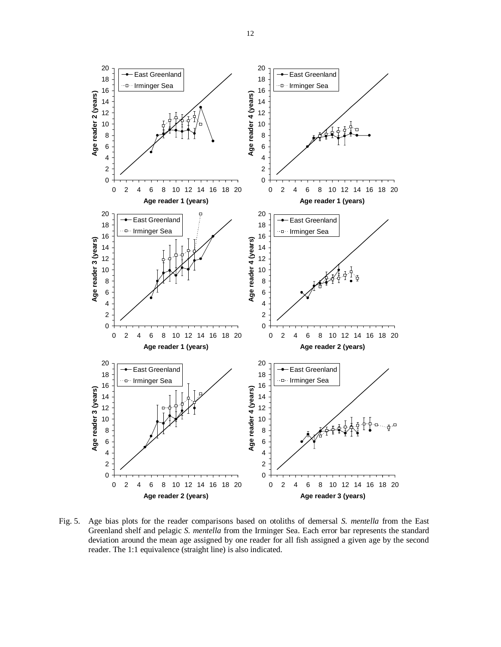

Fig. 5. Age bias plots for the reader comparisons based on otoliths of demersal *S. mentella* from the East Greenland shelf and pelagic *S. mentella* from the Irminger Sea. Each error bar represents the standard deviation around the mean age assigned by one reader for all fish assigned a given age by the second reader. The 1:1 equivalence (straight line) is also indicated.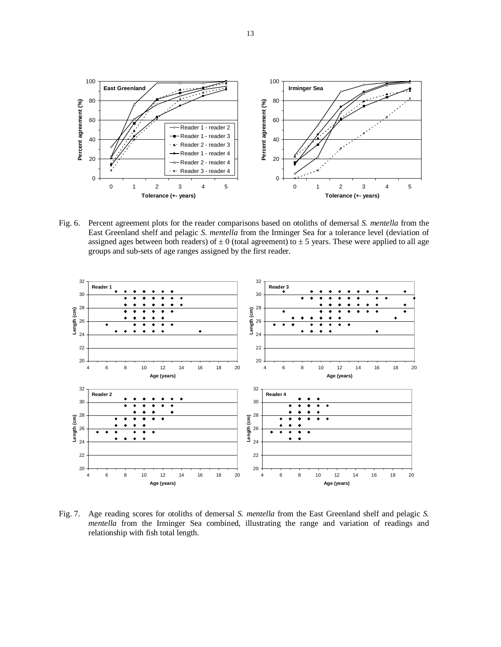

Fig. 6. Percent agreement plots for the reader comparisons based on otoliths of demersal *S. mentella* from the East Greenland shelf and pelagic *S. mentella* from the Irminger Sea for a tolerance level (deviation of assigned ages between both readers) of  $\pm$  0 (total agreement) to  $\pm$  5 years. These were applied to all age groups and sub-sets of age ranges assigned by the first reader.



Fig. 7. Age reading scores for otoliths of demersal *S. mentella* from the East Greenland shelf and pelagic *S. mentella* from the Irminger Sea combined, illustrating the range and variation of readings and relationship with fish total length.